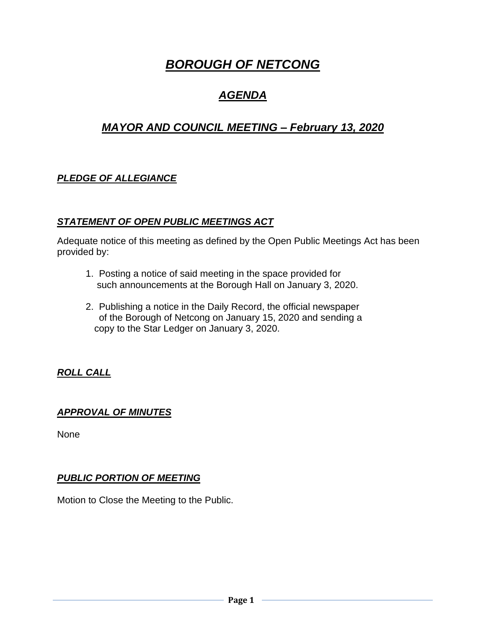# *BOROUGH OF NETCONG*

## *AGENDA*

## *MAYOR AND COUNCIL MEETING – February 13, 2020*

## *PLEDGE OF ALLEGIANCE*

#### *STATEMENT OF OPEN PUBLIC MEETINGS ACT*

Adequate notice of this meeting as defined by the Open Public Meetings Act has been provided by:

- 1. Posting a notice of said meeting in the space provided for such announcements at the Borough Hall on January 3, 2020.
- 2. Publishing a notice in the Daily Record, the official newspaper of the Borough of Netcong on January 15, 2020 and sending a copy to the Star Ledger on January 3, 2020.

## *ROLL CALL*

#### *APPROVAL OF MINUTES*

None

### *PUBLIC PORTION OF MEETING*

Motion to Close the Meeting to the Public.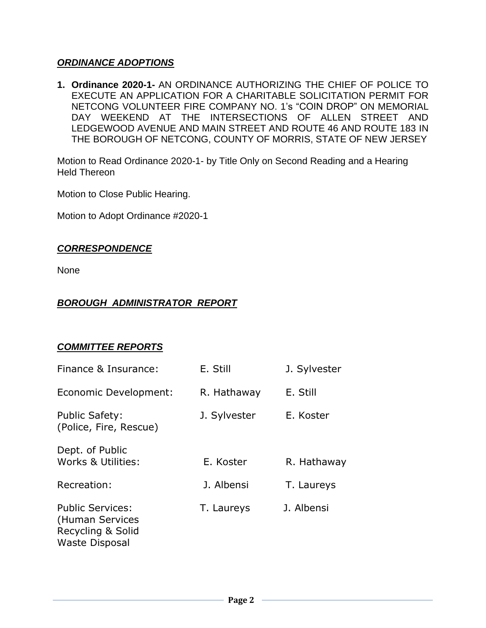#### *ORDINANCE ADOPTIONS*

**1. Ordinance 2020-1-** AN ORDINANCE AUTHORIZING THE CHIEF OF POLICE TO EXECUTE AN APPLICATION FOR A CHARITABLE SOLICITATION PERMIT FOR NETCONG VOLUNTEER FIRE COMPANY NO. 1's "COIN DROP" ON MEMORIAL DAY WEEKEND AT THE INTERSECTIONS OF ALLEN STREET AND LEDGEWOOD AVENUE AND MAIN STREET AND ROUTE 46 AND ROUTE 183 IN THE BOROUGH OF NETCONG, COUNTY OF MORRIS, STATE OF NEW JERSEY

Motion to Read Ordinance 2020-1- by Title Only on Second Reading and a Hearing Held Thereon

Motion to Close Public Hearing.

Motion to Adopt Ordinance #2020-1

#### *CORRESPONDENCE*

None

#### *BOROUGH ADMINISTRATOR REPORT*

#### *COMMITTEE REPORTS*

| Finance & Insurance:                                                                     | E. Still     | J. Sylvester |
|------------------------------------------------------------------------------------------|--------------|--------------|
| Economic Development:                                                                    | R. Hathaway  | E. Still     |
| <b>Public Safety:</b><br>(Police, Fire, Rescue)                                          | J. Sylvester | E. Koster    |
| Dept. of Public<br>Works & Utilities:                                                    | E. Koster    | R. Hathaway  |
| Recreation:                                                                              | J. Albensi   | T. Laureys   |
| <b>Public Services:</b><br>(Human Services<br>Recycling & Solid<br><b>Waste Disposal</b> | T. Laureys   | J. Albensi   |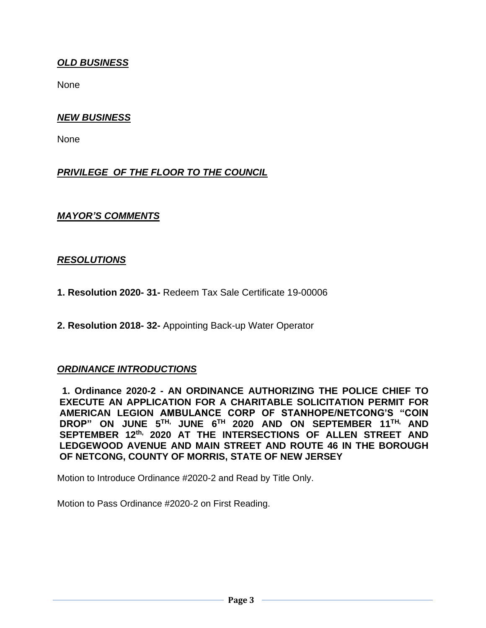#### *OLD BUSINESS*

None

#### *NEW BUSINESS*

None

### *PRIVILEGE OF THE FLOOR TO THE COUNCIL*

#### *MAYOR'S COMMENTS*

#### *RESOLUTIONS*

- **1. Resolution 2020- 31-** Redeem Tax Sale Certificate 19-00006
- **2. Resolution 2018- 32-** Appointing Back-up Water Operator

#### *ORDINANCE INTRODUCTIONS*

**1. Ordinance 2020-2 - AN ORDINANCE AUTHORIZING THE POLICE CHIEF TO EXECUTE AN APPLICATION FOR A CHARITABLE SOLICITATION PERMIT FOR AMERICAN LEGION AMBULANCE CORP OF STANHOPE/NETCONG'S "COIN DROP" ON JUNE 5 TH, JUNE 6 TH 2020 AND ON SEPTEMBER 11 TH, AND SEPTEMBER 12 th, 2020 AT THE INTERSECTIONS OF ALLEN STREET AND LEDGEWOOD AVENUE AND MAIN STREET AND ROUTE 46 IN THE BOROUGH OF NETCONG, COUNTY OF MORRIS, STATE OF NEW JERSEY**

Motion to Introduce Ordinance #2020-2 and Read by Title Only.

Motion to Pass Ordinance #2020-2 on First Reading.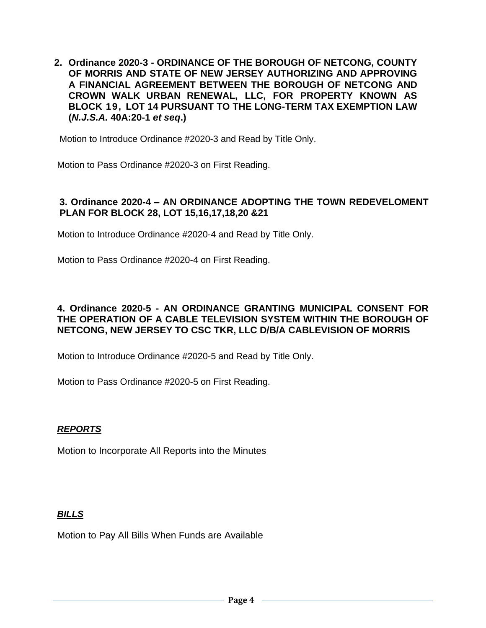**2. Ordinance 2020-3 - ORDINANCE OF THE BOROUGH OF NETCONG, COUNTY OF MORRIS AND STATE OF NEW JERSEY AUTHORIZING AND APPROVING A FINANCIAL AGREEMENT BETWEEN THE BOROUGH OF NETCONG AND CROWN WALK URBAN RENEWAL, LLC, FOR PROPERTY KNOWN AS BLOCK 19, LOT 14 PURSUANT TO THE LONG-TERM TAX EXEMPTION LAW (***N.J.S.A.* **40A:20-1** *et seq***.)**

Motion to Introduce Ordinance #2020-3 and Read by Title Only.

Motion to Pass Ordinance #2020-3 on First Reading.

#### **3. Ordinance 2020-4 – AN ORDINANCE ADOPTING THE TOWN REDEVELOMENT PLAN FOR BLOCK 28, LOT 15,16,17,18,20 &21**

Motion to Introduce Ordinance #2020-4 and Read by Title Only.

Motion to Pass Ordinance #2020-4 on First Reading.

#### **4. Ordinance 2020-5 - AN ORDINANCE GRANTING MUNICIPAL CONSENT FOR THE OPERATION OF A CABLE TELEVISION SYSTEM WITHIN THE BOROUGH OF NETCONG, NEW JERSEY TO CSC TKR, LLC D/B/A CABLEVISION OF MORRIS**

Motion to Introduce Ordinance #2020-5 and Read by Title Only.

Motion to Pass Ordinance #2020-5 on First Reading.

#### *REPORTS*

Motion to Incorporate All Reports into the Minutes

#### *BILLS*

Motion to Pay All Bills When Funds are Available